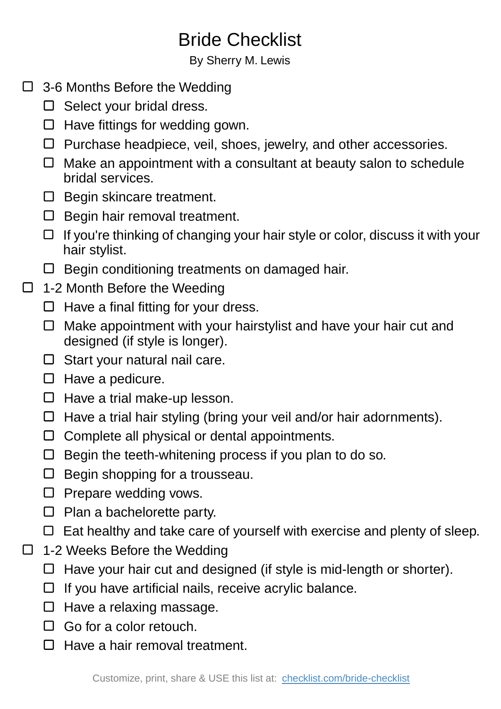## Bride Checklist

By Sherry M. Lewis

- □ 3-6 Months Before the Wedding
	- $\Box$  Select your bridal dress.
	- $\Box$  Have fittings for wedding gown.
	- $\Box$  Purchase headpiece, veil, shoes, jewelry, and other accessories.
	- $\Box$  Make an appointment with a consultant at beauty salon to schedule bridal services.
	- $\Box$  Begin skincare treatment.
	- $\square$  Begin hair removal treatment.
	- $\Box$  If you're thinking of changing your hair style or color, discuss it with your hair stylist.
	- $\Box$  Begin conditioning treatments on damaged hair.
- $\Box$  1-2 Month Before the Weeding
	- $\Box$  Have a final fitting for your dress.
	- $\Box$  Make appointment with your hairstylist and have your hair cut and designed (if style is longer).
	- $\Box$  Start your natural nail care.
	- $\Box$  Have a pedicure.
	- $\Box$  Have a trial make-up lesson.
	- $\Box$  Have a trial hair styling (bring your veil and/or hair adornments).
	- $\Box$  Complete all physical or dental appointments.
	- $\Box$  Begin the teeth-whitening process if you plan to do so.
	- $\Box$  Begin shopping for a trousseau.
	- $\Box$  Prepare wedding vows.
	- $\Box$  Plan a bachelorette party.
	- $\Box$  Eat healthy and take care of yourself with exercise and plenty of sleep.
- □ 1-2 Weeks Before the Wedding
	- $\Box$  Have your hair cut and designed (if style is mid-length or shorter).
	- $\Box$  If you have artificial nails, receive acrylic balance.
	- $\Box$  Have a relaxing massage.
	- $\Box$  Go for a color retouch.
	- $\Box$  Have a hair removal treatment.